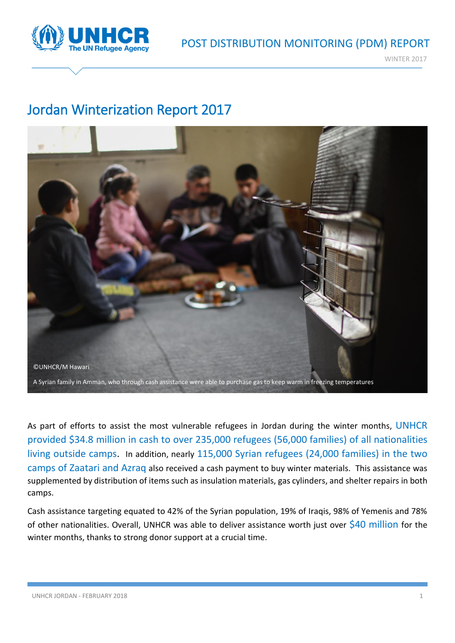

WINTER 2017

## Jordan Winterization Report 2017



As part of efforts to assist the most vulnerable refugees in Jordan during the winter months, UNHCR provided \$34.8 million in cash to over 235,000 refugees (56,000 families) of all nationalities living outside camps. In addition, nearly 115,000 Syrian refugees (24,000 families) in the two camps of Zaatari and Azraq also received a cash payment to buy winter materials. This assistance was supplemented by distribution of items such as insulation materials, gas cylinders, and shelter repairs in both camps.

Cash assistance targeting equated to 42% of the Syrian population, 19% of Iraqis, 98% of Yemenis and 78% of other nationalities. Overall, UNHCR was able to deliver assistance worth just over \$40 million for the winter months, thanks to strong donor support at a crucial time.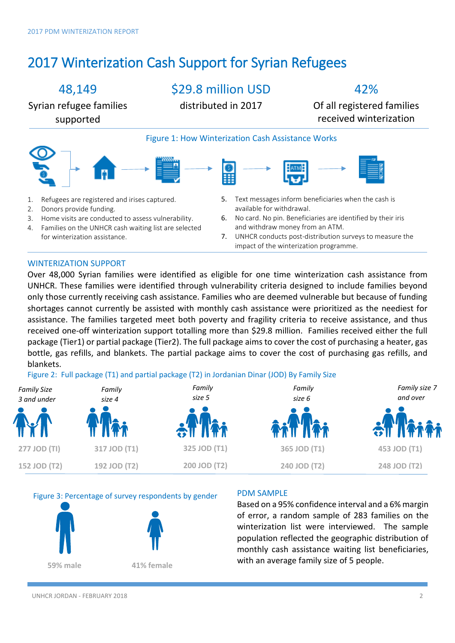# 2017 Winterization Cash Support for Syrian Refugees

### 48,149

\$29.8 million USD

42%

Syrian refugee families supported

distributed in 2017

Of all registered families received winterization





### WINTERIZATION SUPPORT

Over 48,000 Syrian families were identified as eligible for one time winterization cash assistance from UNHCR. These families were identified through vulnerability criteria designed to include families beyond only those currently receiving cash assistance. Families who are deemed vulnerable but because of funding shortages cannot currently be assisted with monthly cash assistance were prioritized as the neediest for assistance. The families targeted meet both poverty and fragility criteria to receive assistance, and thus received one-off winterization support totalling more than \$29.8 million. Families received either the full package (Tier1) or partial package (Tier2). The full package aims to cover the cost of purchasing a heater, gas bottle, gas refills, and blankets. The partial package aims to cover the cost of purchasing gas refills, and blankets.

Figure 2: Full package (T1) and partial package (T2) in Jordanian Dinar (JOD) By Family Size







#### PDM SAMPLE

Based on a 95% confidence interval and a 6% margin of error, a random sample of 283 families on the winterization list were interviewed. The sample population reflected the geographic distribution of monthly cash assistance waiting list beneficiaries, with an average family size of 5 people.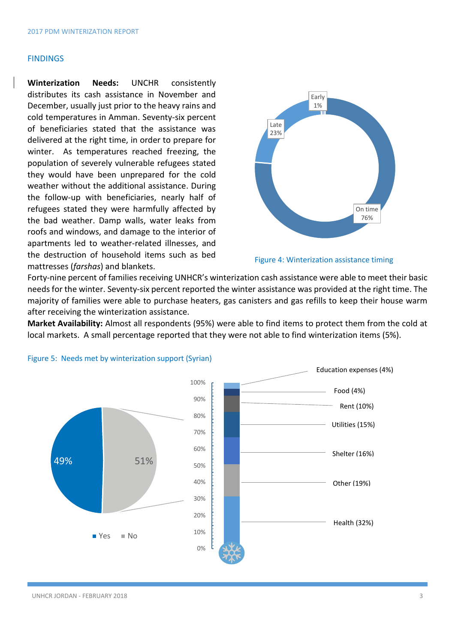#### FINDINGS

**Winterization Needs:** UNCHR consistently distributes its cash assistance in November and December, usually just prior to the heavy rains and cold temperatures in Amman. Seventy-six percent of beneficiaries stated that the assistance was delivered at the right time, in order to prepare for winter. As temperatures reached freezing, the population of severely vulnerable refugees stated they would have been unprepared for the cold weather without the additional assistance. During the follow-up with beneficiaries, nearly half of refugees stated they were harmfully affected by the bad weather. Damp walls, water leaks from roofs and windows, and damage to the interior of apartments led to weather-related illnesses, and the destruction of household items such as bed mattresses (*farshas*) and blankets.





Forty-nine percent of families receiving UNHCR's winterization cash assistance were able to meet their basic needs for the winter. Seventy-six percent reported the winter assistance was provided at the right time. The majority of families were able to purchase heaters, gas canisters and gas refills to keep their house warm after receiving the winterization assistance.

**Market Availability:** Almost all respondents (95%) were able to find items to protect them from the cold at local markets. A small percentage reported that they were not able to find winterization items (5%).



#### Figure 5: Needs met by winterization support (Syrian)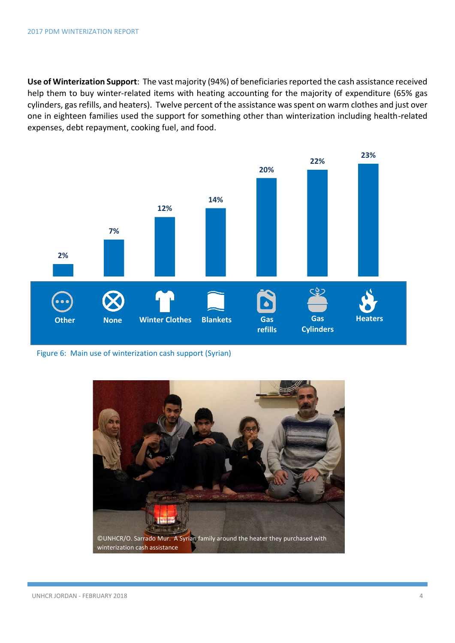**Use of Winterization Support**: The vast majority (94%) of beneficiaries reported the cash assistance received help them to buy winter-related items with heating accounting for the majority of expenditure (65% gas cylinders, gas refills, and heaters). Twelve percent of the assistance was spent on warm clothes and just over one in eighteen families used the support for something other than winterization including health-related expenses, debt repayment, cooking fuel, and food.



Figure 6: Main use of winterization cash support (Syrian)

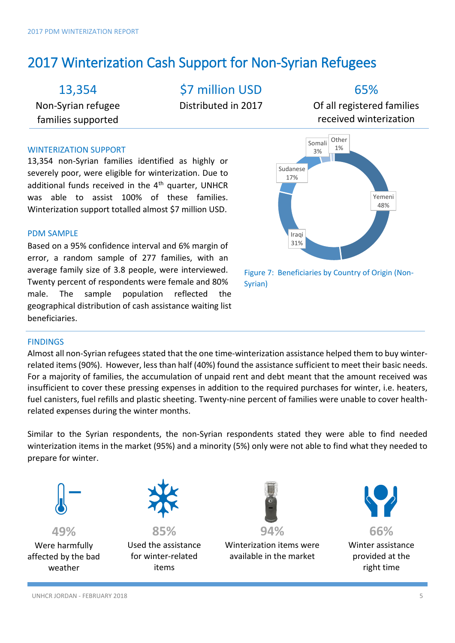## 2017 Winterization Cash Support for Non-Syrian Refugees

13,354

Non-Syrian refugee families supported

\$7 million USD

Distributed in 2017

65%

Of all registered families received winterization

### WINTERIZATION SUPPORT

13,354 non-Syrian families identified as highly or severely poor, were eligible for winterization. Due to additional funds received in the  $4<sup>th</sup>$  quarter, UNHCR was able to assist 100% of these families. Winterization support totalled almost \$7 million USD.

### PDM SAMPLE

Based on a 95% confidence interval and 6% margin of error, a random sample of 277 families, with an average family size of 3.8 people, were interviewed. Twenty percent of respondents were female and 80% male. The sample population reflected the geographical distribution of cash assistance waiting list beneficiaries.



Figure 7: Beneficiaries by Country of Origin (Non-Syrian)

### **FINDINGS**

Almost all non-Syrian refugees stated that the one time-winterization assistance helped them to buy winterrelated items (90%). However, less than half (40%) found the assistance sufficient to meet their basic needs. For a majority of families, the accumulation of unpaid rent and debt meant that the amount received was insufficient to cover these pressing expenses in addition to the required purchases for winter, i.e. heaters, fuel canisters, fuel refills and plastic sheeting. Twenty-nine percent of families were unable to cover healthrelated expenses during the winter months.

Similar to the Syrian respondents, the non-Syrian respondents stated they were able to find needed winterization items in the market (95%) and a minority (5%) only were not able to find what they needed to prepare for winter.



**49%**  Were harmfully affected by the bad weather



**85%**  Used the assistance for winter-related items



Winterization items were available in the market



Winter assistance provided at the right time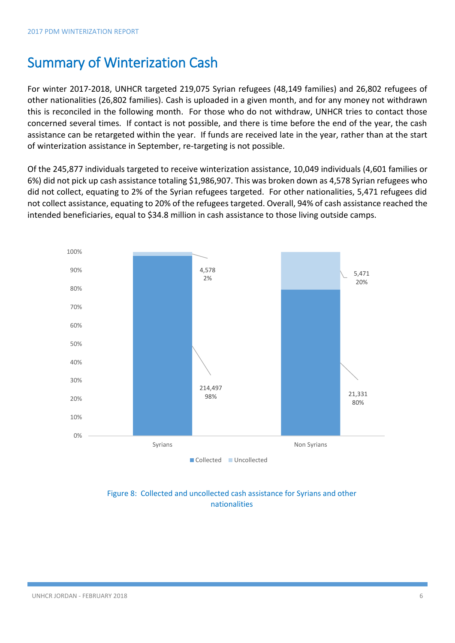### Summary of Winterization Cash

For winter 2017-2018, UNHCR targeted 219,075 Syrian refugees (48,149 families) and 26,802 refugees of other nationalities (26,802 families). Cash is uploaded in a given month, and for any money not withdrawn this is reconciled in the following month. For those who do not withdraw, UNHCR tries to contact those concerned several times. If contact is not possible, and there is time before the end of the year, the cash assistance can be retargeted within the year. If funds are received late in the year, rather than at the start of winterization assistance in September, re-targeting is not possible.

Of the 245,877 individuals targeted to receive winterization assistance, 10,049 individuals (4,601 families or 6%) did not pick up cash assistance totaling \$1,986,907. This was broken down as 4,578 Syrian refugees who did not collect, equating to 2% of the Syrian refugees targeted. For other nationalities, 5,471 refugees did not collect assistance, equating to 20% of the refugees targeted. Overall, 94% of cash assistance reached the intended beneficiaries, equal to \$34.8 million in cash assistance to those living outside camps.



### Figure 8: Collected and uncollected cash assistance for Syrians and other nationalities